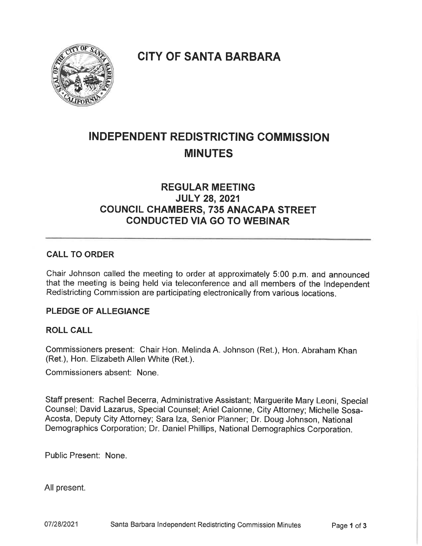**CITY OF SANTA BARBARA** 



# INDEPENDENT REDISTRICTING COMMISSION **MINUTES**

# REGULAR MEETING JULY 28, 2021 COUNCIL CHAMBERS, 735 ANACAPA STREET CONDUCTED VIA GO TO WEBINAR

# CALL TO ORDER

Chair Johnson called the meeting to order at approximately 5:00 p. m. and announced that the meeting is being held via teleconference and all members of the Independent Redistricting Commission are participating electronically from various locations.

# PLEDGE OF ALLEGIANCE

# ROLL CALL

Commissioners present: Chair Hon. Melinda A. Johnson (Ret), Hon. Abraham Khan (Ret.), Hon. Elizabeth Allen White (Ret.).

Commissioners absent: None.

Staff present: Rachel Becerra, Administrative Assistant; Marguerite Mary Leoni, Special Counsel; David Lazarus, Special Counsel; Ariel Calonne, City Attorney; Michelle Sosa-Acosta, Deputy City Attorney; Sara Iza, Senior Planner; Dr. Doug Johnson, National Demographics Corporation; Dr. Daniel Phillips, National Demographics Corporation.

Public Present: None.

All present.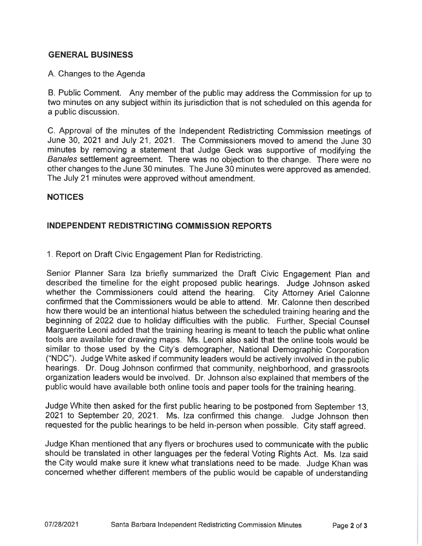# GENERAL BUSINESS

#### A. Changes to the Agenda

B. Public Comment. Any member of the public may address the Commission for up to two minutes on any subject within its jurisdiction that is not scheduled on this agenda for a public discussion.

C. Approval of the minutes of the Independent Redistricting Commission meetings of June 30, 2021 and July 21, 2021. The Commissioners moved to amend the June 30 minutes by removing a statement that Judge Geek was supportive of modifying the Banales settlement agreement. There was no objection to the change. There were no other changes to the June 30 minutes. The June 30 minutes were approved as amended. The July 21 minutes were approved without amendment.

#### NOTICES

# INDEPENDENT REDISTRICTING COMMISSION REPORTS

1. Report on Draft Civic Engagement Plan for Redistricting.

Senior Planner Sara Iza briefly summarized the Draft Civic Engagement Plan and described the timeline for the eight proposed public hearings. Judge Johnson asked whether the Commissioners could attend the hearing. City Attorney Ariel Calonne confirmed that the Commissioners would be able to attend. Mr. Calonne then described how there would be an intentional hiatus between the scheduled training hearing and the beginning of 2022 due to holiday difficulties with the public. Further, Special Counsel Marguerite Leoni added that the training hearing is meant to teach the public what online tools are available for drawing maps. Ms. Leoni also said that the online tools would be similar to those used by the City's demographer, National Demographic Corporation ("NDC"). Judge White asked if community leaders would be actively involved in the public hearings. Dr. Doug Johnson confirmed that community, neighborhood, and grassroots organization leaders would be involved. Dr. Johnson also explained that members of the public would have available both online tools and paper tools for the training hearing.

Judge White then asked for the first public hearing to be postponed from September 13, 2021 to September 20, 2021. Ms. Iza confirmed this change. Judge Johnson then requested for the public hearings to be held in-person when possible. City staff agreed.

Judge Khan mentioned that any flyers or brochures used to communicate with the public should be translated in other languages per the federal Voting Rights Act. Ms. Iza said the City would make sure it knew what translations need to be made. Judge Khan was concerned whether different members of the public would be capable of understanding